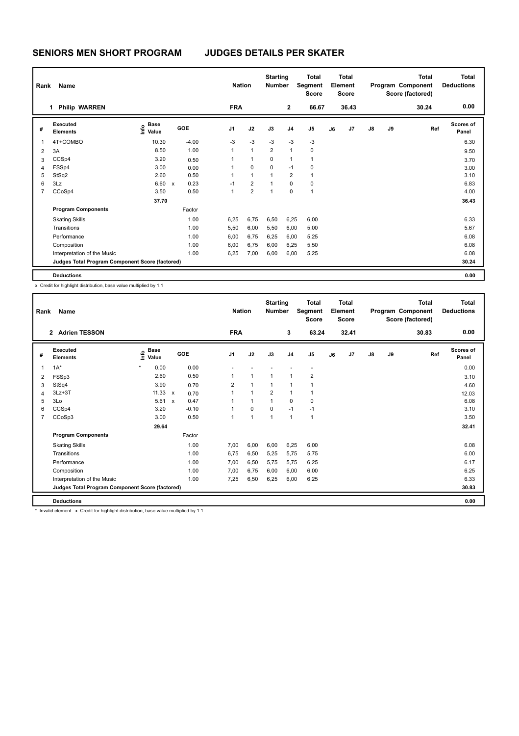| Rank           | Name                                            |                       |                                   | <b>Nation</b> |                | <b>Starting</b><br>Number |                | <b>Total</b><br>Segment<br><b>Score</b> |    | <b>Total</b><br>Element<br><b>Score</b> |               |    | <b>Total</b><br>Program Component<br>Score (factored) | <b>Total</b><br><b>Deductions</b> |
|----------------|-------------------------------------------------|-----------------------|-----------------------------------|---------------|----------------|---------------------------|----------------|-----------------------------------------|----|-----------------------------------------|---------------|----|-------------------------------------------------------|-----------------------------------|
|                | <b>Philip WARREN</b><br>1                       |                       |                                   | <b>FRA</b>    |                |                           | $\overline{2}$ | 66.67                                   |    | 36.43                                   |               |    | 30.24                                                 | 0.00                              |
| #              | Executed<br><b>Elements</b>                     | Base<br>Info<br>Value | <b>GOE</b>                        | J1            | J2             | J3                        | J4             | J <sub>5</sub>                          | J6 | J7                                      | $\mathsf{J}8$ | J9 | Ref                                                   | <b>Scores of</b><br>Panel         |
| 1              | 4T+COMBO                                        | 10.30                 | $-4.00$                           | $-3$          | $-3$           | $-3$                      | $-3$           | $-3$                                    |    |                                         |               |    |                                                       | 6.30                              |
| $\overline{2}$ | 3A                                              | 8.50                  | 1.00                              | $\mathbf{1}$  | $\mathbf{1}$   | $\overline{2}$            | 1              | 0                                       |    |                                         |               |    |                                                       | 9.50                              |
| 3              | CCSp4                                           | 3.20                  | 0.50                              | 1             | $\mathbf{1}$   | 0                         | 1              | $\mathbf{1}$                            |    |                                         |               |    |                                                       | 3.70                              |
| $\overline{4}$ | FSSp4                                           | 3.00                  | 0.00                              | 1             | $\mathbf 0$    | 0                         | $-1$           | 0                                       |    |                                         |               |    |                                                       | 3.00                              |
| 5              | StSq2                                           | 2.60                  | 0.50                              | 1             | $\mathbf{1}$   | 1                         | $\overline{2}$ | $\mathbf{1}$                            |    |                                         |               |    |                                                       | 3.10                              |
| 6              | 3Lz                                             | 6.60                  | 0.23<br>$\boldsymbol{\mathsf{x}}$ | $-1$          | $\overline{2}$ | $\mathbf{1}$              | 0              | $\mathbf 0$                             |    |                                         |               |    |                                                       | 6.83                              |
| $\overline{7}$ | CCoSp4                                          | 3.50                  | 0.50                              | 1             | $\overline{2}$ | 1                         | 0              | $\mathbf{1}$                            |    |                                         |               |    |                                                       | 4.00                              |
|                |                                                 | 37.70                 |                                   |               |                |                           |                |                                         |    |                                         |               |    |                                                       | 36.43                             |
|                | <b>Program Components</b>                       |                       | Factor                            |               |                |                           |                |                                         |    |                                         |               |    |                                                       |                                   |
|                | <b>Skating Skills</b>                           |                       | 1.00                              | 6,25          | 6,75           | 6,50                      | 6,25           | 6,00                                    |    |                                         |               |    |                                                       | 6.33                              |
|                | Transitions                                     |                       | 1.00                              | 5,50          | 6,00           | 5,50                      | 6,00           | 5,00                                    |    |                                         |               |    |                                                       | 5.67                              |
|                | Performance                                     |                       | 1.00                              | 6,00          | 6,75           | 6,25                      | 6,00           | 5,25                                    |    |                                         |               |    |                                                       | 6.08                              |
|                | Composition                                     |                       | 1.00                              | 6,00          | 6,75           | 6,00                      | 6,25           | 5,50                                    |    |                                         |               |    |                                                       | 6.08                              |
|                | Interpretation of the Music                     |                       | 1.00                              | 6,25          | 7,00           | 6,00                      | 6,00           | 5,25                                    |    |                                         |               |    |                                                       | 6.08                              |
|                | Judges Total Program Component Score (factored) |                       |                                   |               |                |                           |                |                                         |    |                                         |               |    |                                                       | 30.24                             |
|                | <b>Deductions</b>                               |                       |                                   |               |                |                           |                |                                         |    |                                         |               |    |                                                       | 0.00                              |

x Credit for highlight distribution, base value multiplied by 1.1

| Rank           | Name                                            |                           |                           |                         | <b>Nation</b> | <b>Starting</b><br><b>Number</b> |                | <b>Total</b><br>Segment<br><b>Score</b> |    | <b>Total</b><br>Element<br>Score |               |    | <b>Total</b><br>Program Component<br>Score (factored) | Total<br><b>Deductions</b> |
|----------------|-------------------------------------------------|---------------------------|---------------------------|-------------------------|---------------|----------------------------------|----------------|-----------------------------------------|----|----------------------------------|---------------|----|-------------------------------------------------------|----------------------------|
|                | <b>Adrien TESSON</b><br>$\overline{2}$          |                           |                           | <b>FRA</b>              |               |                                  | 3              | 63.24                                   |    | 32.41                            |               |    | 30.83                                                 | 0.00                       |
| #              | Executed<br><b>Elements</b>                     | <b>Base</b><br>e<br>Value | GOE                       | J <sub>1</sub>          | J2            | J3                               | J <sub>4</sub> | J <sub>5</sub>                          | J6 | J7                               | $\mathsf{J}8$ | J9 | Ref                                                   | <b>Scores of</b><br>Panel  |
| $\overline{1}$ | $1A^*$                                          | $\star$<br>0.00           |                           | 0.00                    |               |                                  |                |                                         |    |                                  |               |    |                                                       | 0.00                       |
| $\overline{2}$ | FSSp3                                           | 2.60                      |                           | 0.50<br>$\mathbf{1}$    | $\mathbf{1}$  | 1                                | 1              | $\overline{2}$                          |    |                                  |               |    |                                                       | 3.10                       |
| 3              | StSq4                                           | 3.90                      |                           | $\overline{2}$<br>0.70  | $\mathbf{1}$  | 1                                | $\mathbf{1}$   | $\overline{1}$                          |    |                                  |               |    |                                                       | 4.60                       |
| 4              | $3Lz + 3T$                                      | 11.33                     | $\boldsymbol{\mathsf{x}}$ | $\mathbf{1}$<br>0.70    | $\mathbf{1}$  | $\overline{2}$                   | $\mathbf{1}$   | $\overline{1}$                          |    |                                  |               |    |                                                       | 12.03                      |
| 5              | 3Lo                                             | 5.61                      | $\boldsymbol{\mathsf{x}}$ | 0.47<br>1               | $\mathbf{1}$  | $\mathbf{1}$                     | $\mathbf 0$    | $\pmb{0}$                               |    |                                  |               |    |                                                       | 6.08                       |
| 6              | CCSp4                                           | 3.20                      |                           | $-0.10$<br>$\mathbf{1}$ | 0             | $\Omega$                         | $-1$           | $-1$                                    |    |                                  |               |    |                                                       | 3.10                       |
| $\overline{7}$ | CCoSp3                                          | 3.00                      |                           | 0.50<br>1               | $\mathbf{1}$  | $\overline{1}$                   | $\mathbf{1}$   | $\overline{1}$                          |    |                                  |               |    |                                                       | 3.50                       |
|                |                                                 | 29.64                     |                           |                         |               |                                  |                |                                         |    |                                  |               |    |                                                       | 32.41                      |
|                | <b>Program Components</b>                       |                           | Factor                    |                         |               |                                  |                |                                         |    |                                  |               |    |                                                       |                            |
|                | <b>Skating Skills</b>                           |                           |                           | 1.00<br>7.00            | 6,00          | 6,00                             | 6,25           | 6,00                                    |    |                                  |               |    |                                                       | 6.08                       |
|                | Transitions                                     |                           |                           | 1.00<br>6,75            | 6,50          | 5,25                             | 5,75           | 5,75                                    |    |                                  |               |    |                                                       | 6.00                       |
|                | Performance                                     |                           |                           | 1.00<br>7,00            | 6,50          | 5,75                             | 5,75           | 6,25                                    |    |                                  |               |    |                                                       | 6.17                       |
|                | Composition                                     |                           |                           | 1.00<br>7.00            | 6,75          | 6,00                             | 6,00           | 6,00                                    |    |                                  |               |    |                                                       | 6.25                       |
|                | Interpretation of the Music                     |                           |                           | 1.00<br>7.25            | 6,50          | 6,25                             | 6,00           | 6,25                                    |    |                                  |               |    |                                                       | 6.33                       |
|                | Judges Total Program Component Score (factored) |                           |                           |                         |               |                                  |                |                                         |    |                                  |               |    |                                                       | 30.83                      |
|                | <b>Deductions</b>                               |                           |                           |                         |               |                                  |                |                                         |    |                                  |               |    |                                                       | 0.00                       |

\* Invalid element x Credit for highlight distribution, base value multiplied by 1.1